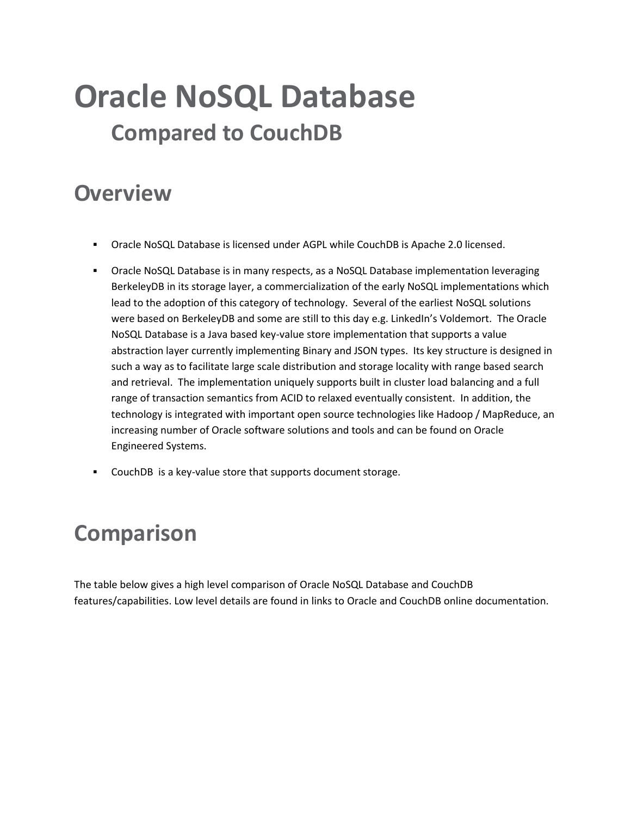## **Oracle NoSQL Database Compared to CouchDB**

## **Overview**

- Oracle NoSQL Database is licensed under AGPL while CouchDB is Apache 2.0 licensed.
- Oracle NoSQL Database is in many respects, as a NoSQL Database implementation leveraging BerkeleyDB in its storage layer, a commercialization of the early NoSQL implementations which lead to the adoption of this category of technology. Several of the earliest NoSQL solutions were based on BerkeleyDB and some are still to this day e.g. LinkedIn's Voldemort. The Oracle NoSQL Database is a Java based key-value store implementation that supports a value abstraction layer currently implementing Binary and JSON types. Its key structure is designed in such a way as to facilitate large scale distribution and storage locality with range based search and retrieval. The implementation uniquely supports built in cluster load balancing and a full range of transaction semantics from ACID to relaxed eventually consistent. In addition, the technology is integrated with important open source technologies like Hadoop / MapReduce, an increasing number of Oracle software solutions and tools and can be found on Oracle Engineered Systems.
- CouchDB is a key-value store that supports document storage.

## **Comparison**

The table below gives a high level comparison of Oracle NoSQL Database and CouchDB features/capabilities. Low level details are found in links to Oracle and CouchDB online documentation.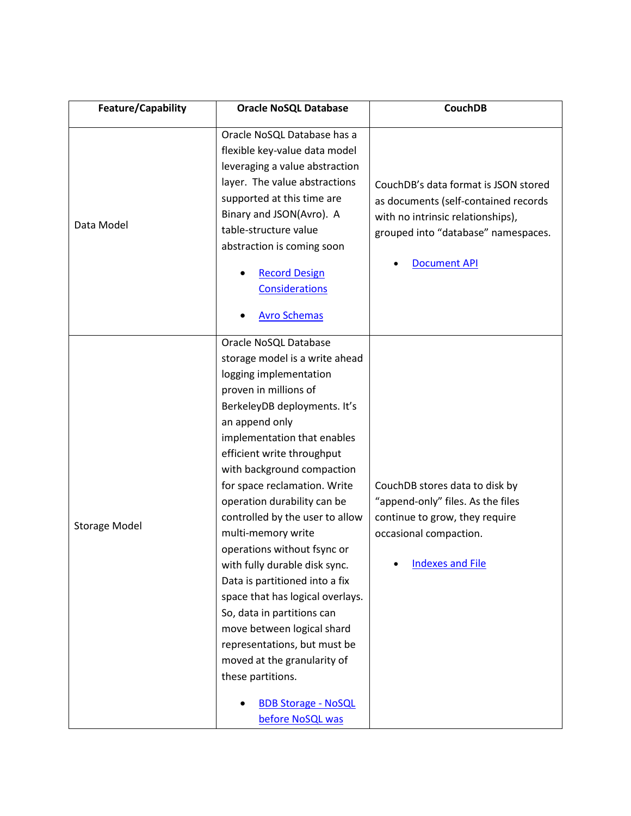| Feature/Capability   | <b>Oracle NoSQL Database</b>                                                                                                                                                                                                                                                                                                                                                                                                                                                                                                                                                                                                                                                                                            | <b>CouchDB</b>                                                                                                                                                                  |
|----------------------|-------------------------------------------------------------------------------------------------------------------------------------------------------------------------------------------------------------------------------------------------------------------------------------------------------------------------------------------------------------------------------------------------------------------------------------------------------------------------------------------------------------------------------------------------------------------------------------------------------------------------------------------------------------------------------------------------------------------------|---------------------------------------------------------------------------------------------------------------------------------------------------------------------------------|
| Data Model           | Oracle NoSQL Database has a<br>flexible key-value data model<br>leveraging a value abstraction<br>layer. The value abstractions<br>supported at this time are<br>Binary and JSON(Avro). A<br>table-structure value<br>abstraction is coming soon<br><b>Record Design</b><br><b>Considerations</b><br><b>Avro Schemas</b>                                                                                                                                                                                                                                                                                                                                                                                                | CouchDB's data format is JSON stored<br>as documents (self-contained records<br>with no intrinsic relationships),<br>grouped into "database" namespaces.<br><b>Document API</b> |
| <b>Storage Model</b> | Oracle NoSQL Database<br>storage model is a write ahead<br>logging implementation<br>proven in millions of<br>BerkeleyDB deployments. It's<br>an append only<br>implementation that enables<br>efficient write throughput<br>with background compaction<br>for space reclamation. Write<br>operation durability can be<br>controlled by the user to allow<br>multi-memory write<br>operations without fsync or<br>with fully durable disk sync.<br>Data is partitioned into a fix<br>space that has logical overlays.<br>So, data in partitions can<br>move between logical shard<br>representations, but must be<br>moved at the granularity of<br>these partitions.<br><b>BDB Storage - NoSQL</b><br>before NoSQL was | CouchDB stores data to disk by<br>"append-only" files. As the files<br>continue to grow, they require<br>occasional compaction.<br><b>Indexes and File</b>                      |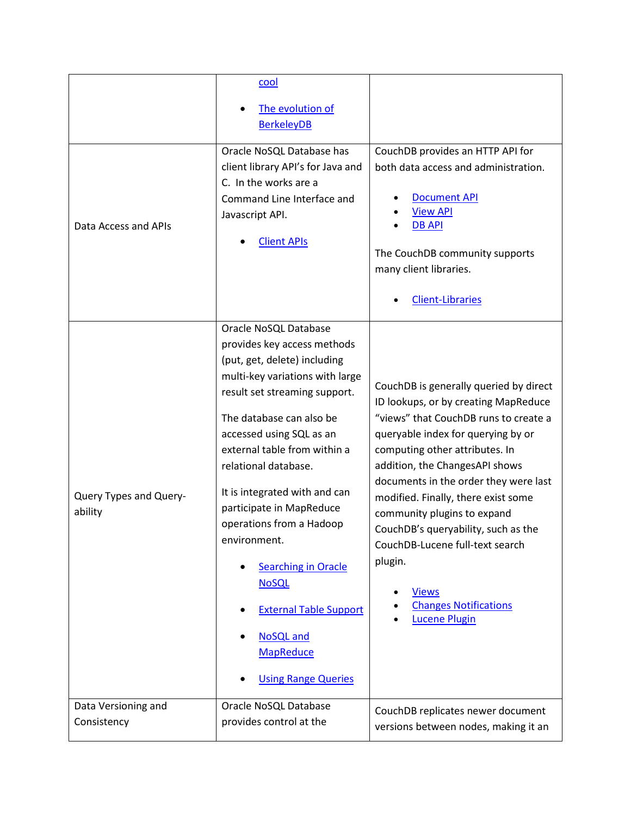|                                    | cool                                                                                                                                                                                                                                                                                                                                                                                                                                                                                                                                   |                                                                                                                                                                                                                                                                                                                                                                                                                                                                                                               |
|------------------------------------|----------------------------------------------------------------------------------------------------------------------------------------------------------------------------------------------------------------------------------------------------------------------------------------------------------------------------------------------------------------------------------------------------------------------------------------------------------------------------------------------------------------------------------------|---------------------------------------------------------------------------------------------------------------------------------------------------------------------------------------------------------------------------------------------------------------------------------------------------------------------------------------------------------------------------------------------------------------------------------------------------------------------------------------------------------------|
|                                    | The evolution of<br><b>BerkeleyDB</b>                                                                                                                                                                                                                                                                                                                                                                                                                                                                                                  |                                                                                                                                                                                                                                                                                                                                                                                                                                                                                                               |
| Data Access and APIs               | Oracle NoSQL Database has<br>client library API's for Java and<br>C. In the works are a<br>Command Line Interface and<br>Javascript API.<br><b>Client APIs</b>                                                                                                                                                                                                                                                                                                                                                                         | CouchDB provides an HTTP API for<br>both data access and administration.<br><b>Document API</b><br><b>View API</b><br><b>DB API</b><br>The CouchDB community supports<br>many client libraries.<br><b>Client-Libraries</b>                                                                                                                                                                                                                                                                                    |
| Query Types and Query-<br>ability  | Oracle NoSQL Database<br>provides key access methods<br>(put, get, delete) including<br>multi-key variations with large<br>result set streaming support.<br>The database can also be<br>accessed using SQL as an<br>external table from within a<br>relational database.<br>It is integrated with and can<br>participate in MapReduce<br>operations from a Hadoop<br>environment.<br><b>Searching in Oracle</b><br><b>NoSQL</b><br><b>External Table Support</b><br><b>NoSQL</b> and<br><b>MapReduce</b><br><b>Using Range Queries</b> | CouchDB is generally queried by direct<br>ID lookups, or by creating MapReduce<br>"views" that CouchDB runs to create a<br>queryable index for querying by or<br>computing other attributes. In<br>addition, the ChangesAPI shows<br>documents in the order they were last<br>modified. Finally, there exist some<br>community plugins to expand<br>CouchDB's queryability, such as the<br>CouchDB-Lucene full-text search<br>plugin.<br><b>Views</b><br><b>Changes Notifications</b><br><b>Lucene Plugin</b> |
| Data Versioning and<br>Consistency | Oracle NoSQL Database<br>provides control at the                                                                                                                                                                                                                                                                                                                                                                                                                                                                                       | CouchDB replicates newer document                                                                                                                                                                                                                                                                                                                                                                                                                                                                             |
|                                    |                                                                                                                                                                                                                                                                                                                                                                                                                                                                                                                                        | versions between nodes, making it an                                                                                                                                                                                                                                                                                                                                                                                                                                                                          |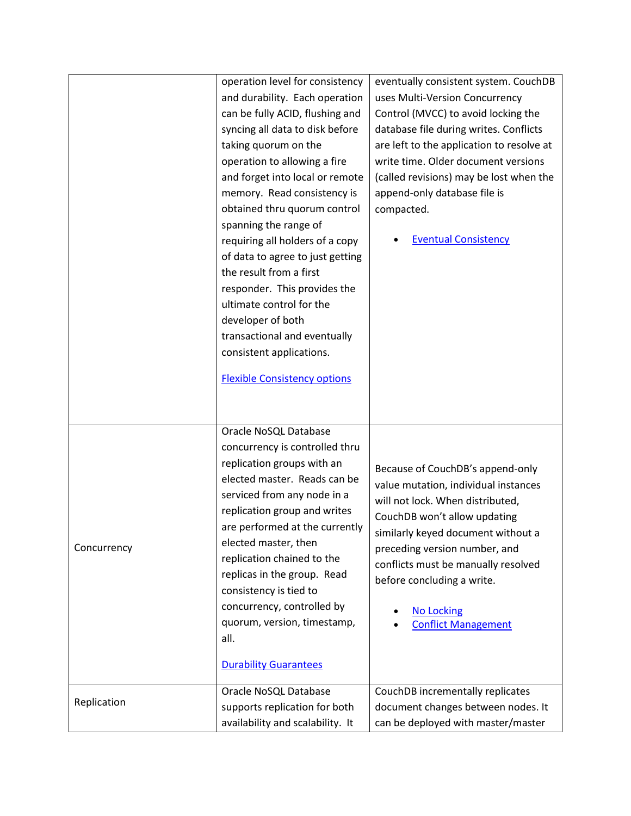|             | operation level for consistency     | eventually consistent system. CouchDB                            |
|-------------|-------------------------------------|------------------------------------------------------------------|
|             | and durability. Each operation      | uses Multi-Version Concurrency                                   |
|             | can be fully ACID, flushing and     | Control (MVCC) to avoid locking the                              |
|             | syncing all data to disk before     | database file during writes. Conflicts                           |
|             | taking quorum on the                | are left to the application to resolve at                        |
|             | operation to allowing a fire        | write time. Older document versions                              |
|             | and forget into local or remote     | (called revisions) may be lost when the                          |
|             | memory. Read consistency is         | append-only database file is                                     |
|             | obtained thru quorum control        | compacted.                                                       |
|             | spanning the range of               |                                                                  |
|             | requiring all holders of a copy     | <b>Eventual Consistency</b>                                      |
|             | of data to agree to just getting    |                                                                  |
|             | the result from a first             |                                                                  |
|             | responder. This provides the        |                                                                  |
|             | ultimate control for the            |                                                                  |
|             | developer of both                   |                                                                  |
|             | transactional and eventually        |                                                                  |
|             | consistent applications.            |                                                                  |
|             | <b>Flexible Consistency options</b> |                                                                  |
|             |                                     |                                                                  |
|             | Oracle NoSQL Database               |                                                                  |
|             | concurrency is controlled thru      |                                                                  |
|             | replication groups with an          |                                                                  |
|             | elected master. Reads can be        | Because of CouchDB's append-only                                 |
|             | serviced from any node in a         | value mutation, individual instances                             |
|             | replication group and writes        | will not lock. When distributed,<br>CouchDB won't allow updating |
| Concurrency | are performed at the currently      | similarly keyed document without a                               |
|             | elected master, then                | preceding version number, and                                    |
|             | replication chained to the          | conflicts must be manually resolved                              |
|             | replicas in the group. Read         | before concluding a write.                                       |
|             | consistency is tied to              |                                                                  |
|             | concurrency, controlled by          | <b>No Locking</b>                                                |
|             | quorum, version, timestamp,         | <b>Conflict Management</b>                                       |
|             | all.                                |                                                                  |
|             | <b>Durability Guarantees</b>        |                                                                  |
|             | Oracle NoSQL Database               | CouchDB incrementally replicates                                 |
| Replication | supports replication for both       | document changes between nodes. It                               |
|             | availability and scalability. It    | can be deployed with master/master                               |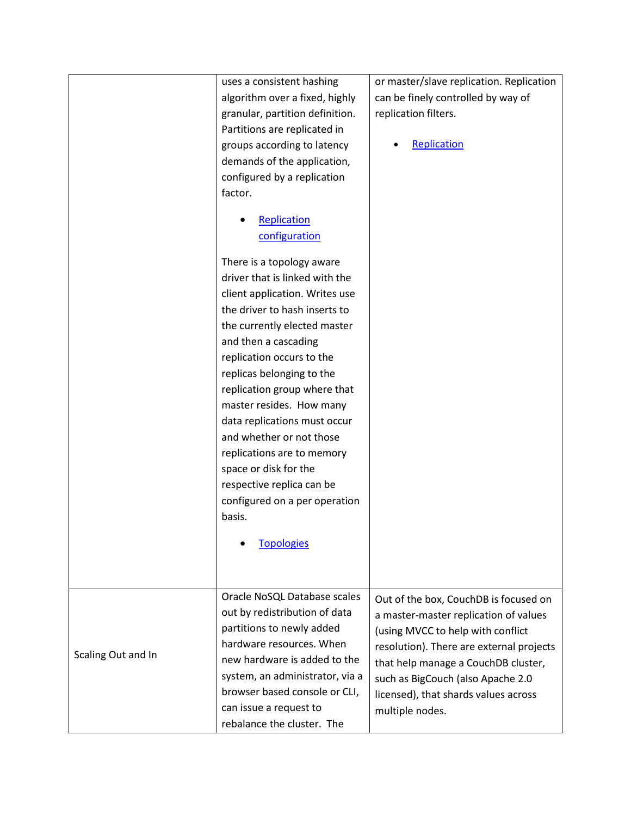| or master/slave replication. Replication<br>uses a consistent hashing<br>algorithm over a fixed, highly<br>can be finely controlled by way of<br>granular, partition definition.<br>replication filters.<br>Partitions are replicated in<br>Replication<br>groups according to latency<br>demands of the application,<br>configured by a replication<br>factor.<br>Replication<br>configuration<br>There is a topology aware<br>driver that is linked with the<br>client application. Writes use<br>the driver to hash inserts to<br>the currently elected master<br>and then a cascading<br>replication occurs to the<br>replicas belonging to the<br>replication group where that<br>master resides. How many |
|-----------------------------------------------------------------------------------------------------------------------------------------------------------------------------------------------------------------------------------------------------------------------------------------------------------------------------------------------------------------------------------------------------------------------------------------------------------------------------------------------------------------------------------------------------------------------------------------------------------------------------------------------------------------------------------------------------------------|
|                                                                                                                                                                                                                                                                                                                                                                                                                                                                                                                                                                                                                                                                                                                 |
|                                                                                                                                                                                                                                                                                                                                                                                                                                                                                                                                                                                                                                                                                                                 |
|                                                                                                                                                                                                                                                                                                                                                                                                                                                                                                                                                                                                                                                                                                                 |
|                                                                                                                                                                                                                                                                                                                                                                                                                                                                                                                                                                                                                                                                                                                 |
|                                                                                                                                                                                                                                                                                                                                                                                                                                                                                                                                                                                                                                                                                                                 |
|                                                                                                                                                                                                                                                                                                                                                                                                                                                                                                                                                                                                                                                                                                                 |
|                                                                                                                                                                                                                                                                                                                                                                                                                                                                                                                                                                                                                                                                                                                 |
|                                                                                                                                                                                                                                                                                                                                                                                                                                                                                                                                                                                                                                                                                                                 |
|                                                                                                                                                                                                                                                                                                                                                                                                                                                                                                                                                                                                                                                                                                                 |
|                                                                                                                                                                                                                                                                                                                                                                                                                                                                                                                                                                                                                                                                                                                 |
|                                                                                                                                                                                                                                                                                                                                                                                                                                                                                                                                                                                                                                                                                                                 |
|                                                                                                                                                                                                                                                                                                                                                                                                                                                                                                                                                                                                                                                                                                                 |
|                                                                                                                                                                                                                                                                                                                                                                                                                                                                                                                                                                                                                                                                                                                 |
|                                                                                                                                                                                                                                                                                                                                                                                                                                                                                                                                                                                                                                                                                                                 |
|                                                                                                                                                                                                                                                                                                                                                                                                                                                                                                                                                                                                                                                                                                                 |
|                                                                                                                                                                                                                                                                                                                                                                                                                                                                                                                                                                                                                                                                                                                 |
|                                                                                                                                                                                                                                                                                                                                                                                                                                                                                                                                                                                                                                                                                                                 |
|                                                                                                                                                                                                                                                                                                                                                                                                                                                                                                                                                                                                                                                                                                                 |
|                                                                                                                                                                                                                                                                                                                                                                                                                                                                                                                                                                                                                                                                                                                 |
|                                                                                                                                                                                                                                                                                                                                                                                                                                                                                                                                                                                                                                                                                                                 |
|                                                                                                                                                                                                                                                                                                                                                                                                                                                                                                                                                                                                                                                                                                                 |
|                                                                                                                                                                                                                                                                                                                                                                                                                                                                                                                                                                                                                                                                                                                 |
| data replications must occur                                                                                                                                                                                                                                                                                                                                                                                                                                                                                                                                                                                                                                                                                    |
| and whether or not those                                                                                                                                                                                                                                                                                                                                                                                                                                                                                                                                                                                                                                                                                        |
| replications are to memory                                                                                                                                                                                                                                                                                                                                                                                                                                                                                                                                                                                                                                                                                      |
| space or disk for the                                                                                                                                                                                                                                                                                                                                                                                                                                                                                                                                                                                                                                                                                           |
| respective replica can be                                                                                                                                                                                                                                                                                                                                                                                                                                                                                                                                                                                                                                                                                       |
|                                                                                                                                                                                                                                                                                                                                                                                                                                                                                                                                                                                                                                                                                                                 |
| configured on a per operation                                                                                                                                                                                                                                                                                                                                                                                                                                                                                                                                                                                                                                                                                   |
| basis.                                                                                                                                                                                                                                                                                                                                                                                                                                                                                                                                                                                                                                                                                                          |
| <b>Topologies</b>                                                                                                                                                                                                                                                                                                                                                                                                                                                                                                                                                                                                                                                                                               |
|                                                                                                                                                                                                                                                                                                                                                                                                                                                                                                                                                                                                                                                                                                                 |
|                                                                                                                                                                                                                                                                                                                                                                                                                                                                                                                                                                                                                                                                                                                 |
|                                                                                                                                                                                                                                                                                                                                                                                                                                                                                                                                                                                                                                                                                                                 |
| Oracle NoSQL Database scales<br>Out of the box, CouchDB is focused on                                                                                                                                                                                                                                                                                                                                                                                                                                                                                                                                                                                                                                           |
| out by redistribution of data<br>a master-master replication of values                                                                                                                                                                                                                                                                                                                                                                                                                                                                                                                                                                                                                                          |
| partitions to newly added<br>(using MVCC to help with conflict                                                                                                                                                                                                                                                                                                                                                                                                                                                                                                                                                                                                                                                  |
| hardware resources. When<br>resolution). There are external projects                                                                                                                                                                                                                                                                                                                                                                                                                                                                                                                                                                                                                                            |
| Scaling Out and In<br>new hardware is added to the<br>that help manage a CouchDB cluster,                                                                                                                                                                                                                                                                                                                                                                                                                                                                                                                                                                                                                       |
| system, an administrator, via a<br>such as BigCouch (also Apache 2.0                                                                                                                                                                                                                                                                                                                                                                                                                                                                                                                                                                                                                                            |
| browser based console or CLI,<br>licensed), that shards values across                                                                                                                                                                                                                                                                                                                                                                                                                                                                                                                                                                                                                                           |
| can issue a request to<br>multiple nodes.                                                                                                                                                                                                                                                                                                                                                                                                                                                                                                                                                                                                                                                                       |
| rebalance the cluster. The                                                                                                                                                                                                                                                                                                                                                                                                                                                                                                                                                                                                                                                                                      |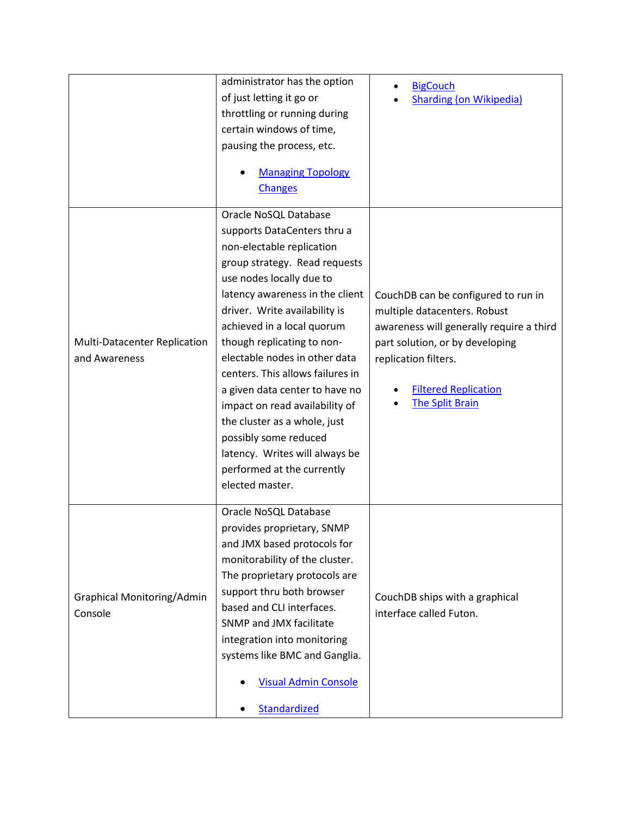|                                              | administrator has the option               | <b>BigCouch</b>                          |
|----------------------------------------------|--------------------------------------------|------------------------------------------|
|                                              | of just letting it go or                   | <b>Sharding (on Wikipedia)</b>           |
|                                              | throttling or running during               |                                          |
|                                              | certain windows of time,                   |                                          |
|                                              | pausing the process, etc.                  |                                          |
|                                              | <b>Managing Topology</b><br><b>Changes</b> |                                          |
|                                              | Oracle NoSQL Database                      |                                          |
|                                              | supports DataCenters thru a                |                                          |
|                                              | non-electable replication                  |                                          |
|                                              | group strategy. Read requests              |                                          |
|                                              | use nodes locally due to                   |                                          |
|                                              | latency awareness in the client            | CouchDB can be configured to run in      |
|                                              | driver. Write availability is              | multiple datacenters. Robust             |
|                                              | achieved in a local quorum                 | awareness will generally require a third |
| Multi-Datacenter Replication                 | though replicating to non-                 | part solution, or by developing          |
| and Awareness                                | electable nodes in other data              | replication filters.                     |
|                                              | centers. This allows failures in           |                                          |
|                                              | a given data center to have no             | <b>Filtered Replication</b>              |
|                                              | impact on read availability of             | <b>The Split Brain</b>                   |
|                                              | the cluster as a whole, just               |                                          |
|                                              | possibly some reduced                      |                                          |
|                                              | latency. Writes will always be             |                                          |
|                                              | performed at the currently                 |                                          |
|                                              | elected master.                            |                                          |
|                                              |                                            |                                          |
|                                              | Oracle NoSQL Database                      |                                          |
| <b>Graphical Monitoring/Admin</b><br>Console | provides proprietary, SNMP                 |                                          |
|                                              | and JMX based protocols for                |                                          |
|                                              | monitorability of the cluster.             |                                          |
|                                              | The proprietary protocols are              |                                          |
|                                              | support thru both browser                  | CouchDB ships with a graphical           |
|                                              | based and CLI interfaces.                  | interface called Futon.                  |
|                                              | SNMP and JMX facilitate                    |                                          |
|                                              | integration into monitoring                |                                          |
|                                              | systems like BMC and Ganglia.              |                                          |
|                                              | <b>Visual Admin Console</b>                |                                          |
|                                              | Standardized                               |                                          |